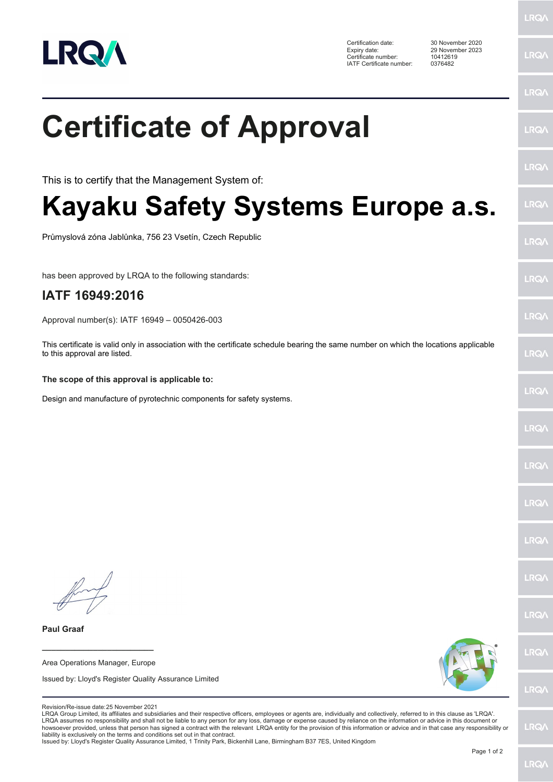

Certification date: 30 November 2020 Expiry date: 29 November 2023 Certificate number: 10412619 IATF Certificate number: 0376482

|                                                                                                                                                                                                                                                                                                                                                                                                                                                                                                                                                                                                                                                                                                                                                                                                               | <b>LRQ/</b> |
|---------------------------------------------------------------------------------------------------------------------------------------------------------------------------------------------------------------------------------------------------------------------------------------------------------------------------------------------------------------------------------------------------------------------------------------------------------------------------------------------------------------------------------------------------------------------------------------------------------------------------------------------------------------------------------------------------------------------------------------------------------------------------------------------------------------|-------------|
| <b>Certificate of Approval</b>                                                                                                                                                                                                                                                                                                                                                                                                                                                                                                                                                                                                                                                                                                                                                                                | LRQ/        |
| This is to certify that the Management System of:                                                                                                                                                                                                                                                                                                                                                                                                                                                                                                                                                                                                                                                                                                                                                             | LRQ/        |
| Kayaku Safety Systems Europe a.s.                                                                                                                                                                                                                                                                                                                                                                                                                                                                                                                                                                                                                                                                                                                                                                             | <b>LRQ/</b> |
| Průmyslová zóna Jablůnka, 756 23 Vsetín, Czech Republic                                                                                                                                                                                                                                                                                                                                                                                                                                                                                                                                                                                                                                                                                                                                                       | LRQ/        |
| has been approved by LRQA to the following standards:                                                                                                                                                                                                                                                                                                                                                                                                                                                                                                                                                                                                                                                                                                                                                         | LRQ/        |
| IATF 16949:2016                                                                                                                                                                                                                                                                                                                                                                                                                                                                                                                                                                                                                                                                                                                                                                                               |             |
| Approval number(s): IATF 16949 - 0050426-003                                                                                                                                                                                                                                                                                                                                                                                                                                                                                                                                                                                                                                                                                                                                                                  | LRQ/        |
| This certificate is valid only in association with the certificate schedule bearing the same number on which the locations applicable<br>to this approval are listed.                                                                                                                                                                                                                                                                                                                                                                                                                                                                                                                                                                                                                                         | LRQ/        |
| The scope of this approval is applicable to:                                                                                                                                                                                                                                                                                                                                                                                                                                                                                                                                                                                                                                                                                                                                                                  |             |
| Design and manufacture of pyrotechnic components for safety systems.                                                                                                                                                                                                                                                                                                                                                                                                                                                                                                                                                                                                                                                                                                                                          | LRQ/        |
|                                                                                                                                                                                                                                                                                                                                                                                                                                                                                                                                                                                                                                                                                                                                                                                                               | LRQ/        |
|                                                                                                                                                                                                                                                                                                                                                                                                                                                                                                                                                                                                                                                                                                                                                                                                               | LRQ/        |
|                                                                                                                                                                                                                                                                                                                                                                                                                                                                                                                                                                                                                                                                                                                                                                                                               | LRQ/        |
|                                                                                                                                                                                                                                                                                                                                                                                                                                                                                                                                                                                                                                                                                                                                                                                                               | LRQ/        |
|                                                                                                                                                                                                                                                                                                                                                                                                                                                                                                                                                                                                                                                                                                                                                                                                               | LRQ/        |
|                                                                                                                                                                                                                                                                                                                                                                                                                                                                                                                                                                                                                                                                                                                                                                                                               | LRQ/        |
| <b>Paul Graaf</b>                                                                                                                                                                                                                                                                                                                                                                                                                                                                                                                                                                                                                                                                                                                                                                                             |             |
| Area Operations Manager, Europe                                                                                                                                                                                                                                                                                                                                                                                                                                                                                                                                                                                                                                                                                                                                                                               | LRQ/        |
| Issued by: Lloyd's Register Quality Assurance Limited                                                                                                                                                                                                                                                                                                                                                                                                                                                                                                                                                                                                                                                                                                                                                         | LRQ/        |
| Revision/Re-issue date: 25 November 2021<br>LRQA Group Limited, its affiliates and subsidiaries and their respective officers, employees or agents are, individually and collectively, referred to in this clause as 'LRQA'.<br>LRQA assumes no responsibility and shall not be liable to any person for any loss, damage or expense caused by reliance on the information or advice in this document or<br>howsoever provided, unless that person has signed a contract with the relevant LRQA entity for the provision of this information or advice and in that case any responsibility or<br>liability is exclusively on the terms and conditions set out in that contract.<br>Issued by: Lloyd's Register Quality Assurance Limited, 1 Trinity Park, Bickenhill Lane, Birmingham B37 7ES, United Kingdom | LRQ/        |

Page 1 of 2

**LRQA**